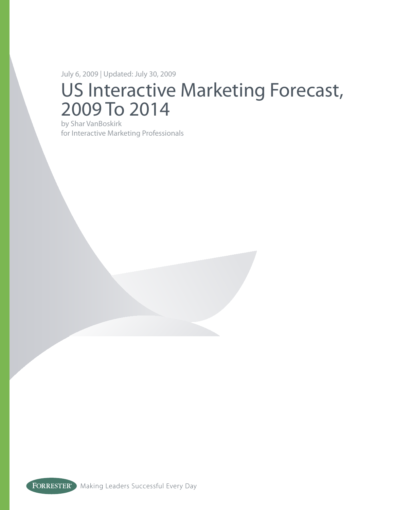July 6, 2009 | Updated: July 30, 2009

# US Interactive Marketing Forecast, 2009 To 2014

by Shar VanBoskirk for Interactive Marketing Professionals

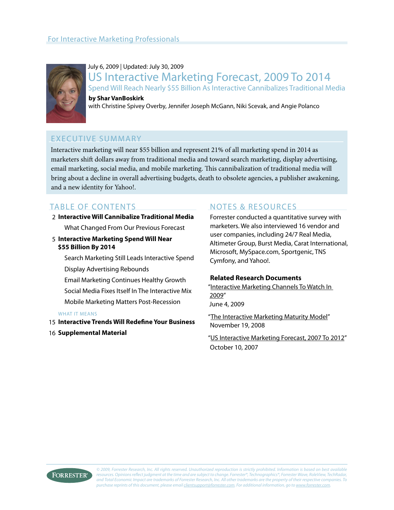

July 6, 2009 | Updated: July 30, 2009 US Interactive Marketing Forecast, 2009 To 2014 Spend Will Reach Nearly \$55 Billion As Interactive Cannibalizes Traditional Media **by Shar VanBoskirk**

with Christine Spivey Overby, Jennifer Joseph McGann, Niki Scevak, and Angie Polanco

### Executive Summary

Interactive marketing will near \$55 billion and represent 21% of all marketing spend in 2014 as marketers shift dollars away from traditional media and toward search marketing, display advertising, email marketing, social media, and mobile marketing. This cannibalization of traditional media will bring about a decline in overall advertising budgets, death to obsolete agencies, a publisher awakening, and a new identity for Yahoo!.

## table of Contents

#### **Interactive Will Cannibalize Traditional Media** 2

What Changed From Our Previous Forecast

**Interactive Marketing Spend Will Near**  5 **\$55 Billion By 2014**

> Search Marketing Still Leads Interactive Spend Display Advertising Rebounds

Email Marketing Continues Healthy Growth

Social Media Fixes Itself In The Interactive Mix

Mobile Marketing Matters Post-Recession

#### WHAT IT MEANS

- **Interactive Trends Will Redefine Your Business** 15
- **16 Supplemental Material**

### NOTES & RESOURCES

Forrester conducted a quantitative survey with marketers. We also interviewed 16 vendor and user companies, including 24/7 Real Media, Altimeter Group, Burst Media, Carat International, Microsoft, MySpace.com, Sportgenic, TNS Cymfony, and Yahoo!.

#### **Related Research Documents**

["Interactive Marketing Channels To Watch In](http://www.forrester.com/go?docid=53721&src=47730pdf)  [2009](http://www.forrester.com/go?docid=53721&src=47730pdf)" June 4, 2009

"[The Interactive Marketing Maturity Model](http://www.forrester.com/go?docid=43521&src=47730pdf)" November 19, 2008

["US Interactive Marketing Forecast, 2007 To 2012](http://www.forrester.com/go?docid=42463&src=47730pdf)" October 10, 2007

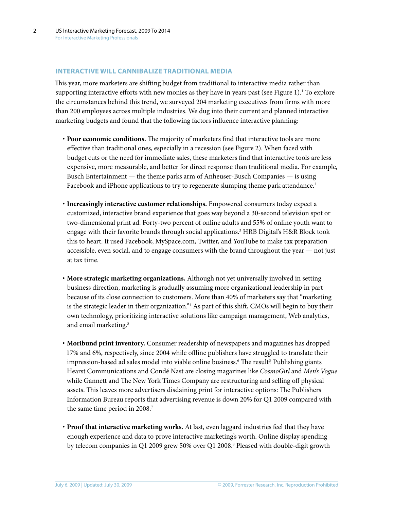#### **Interactive Will CanniBalize Traditional media**

This year, more marketers are shifting budget from traditional to interactive media rather than supporting interactive efforts with new monies as they have in years past (see Figure 1).<sup>1</sup> To explore the circumstances behind this trend, we surveyed 204 marketing executives from firms with more than 200 employees across multiple industries. We dug into their current and planned interactive marketing budgets and found that the following factors influence interactive planning:

- **· Poor economic conditions.** The majority of marketers find that interactive tools are more effective than traditional ones, especially in a recession (see Figure 2). When faced with budget cuts or the need for immediate sales, these marketers find that interactive tools are less expensive, more measurable, and better for direct response than traditional media. For example, Busch Entertainment — the theme parks arm of Anheuser-Busch Companies — is using Facebook and iPhone applications to try to regenerate slumping theme park attendance.<sup>2</sup>
- **· Increasingly interactive customer relationships.** Empowered consumers today expect a customized, interactive brand experience that goes way beyond a 30-second television spot or two-dimensional print ad. Forty-two percent of online adults and 55% of online youth want to engage with their favorite brands through social applications.<sup>3</sup> HRB Digital's H&R Block took this to heart. It used Facebook, MySpace.com, Twitter, and YouTube to make tax preparation accessible, even social, and to engage consumers with the brand throughout the year — not just at tax time.
- **· More strategic marketing organizations.** Although not yet universally involved in setting business direction, marketing is gradually assuming more organizational leadership in part because of its close connection to customers. More than 40% of marketers say that "marketing is the strategic leader in their organization."4 As part of this shift, CMOs will begin to buy their own technology, prioritizing interactive solutions like campaign management, Web analytics, and email marketing.<sup>5</sup>
- **· Moribund print inventory.** Consumer readership of newspapers and magazines has dropped 17% and 6%, respectively, since 2004 while offline publishers have struggled to translate their impression-based ad sales model into viable online business.<sup>6</sup> The result? Publishing giants Hearst Communications and Condé Nast are closing magazines like *CosmoGirl* and *Men's Vogue* while Gannett and The New York Times Company are restructuring and selling off physical assets. This leaves more advertisers disdaining print for interactive options: The Publishers Information Bureau reports that advertising revenue is down 20% for Q1 2009 compared with the same time period in 2008.<sup>7</sup>
- **· Proof that interactive marketing works.** At last, even laggard industries feel that they have enough experience and data to prove interactive marketing's worth. Online display spending by telecom companies in Q1 2009 grew 50% over Q1 2008.8 Pleased with double-digit growth

2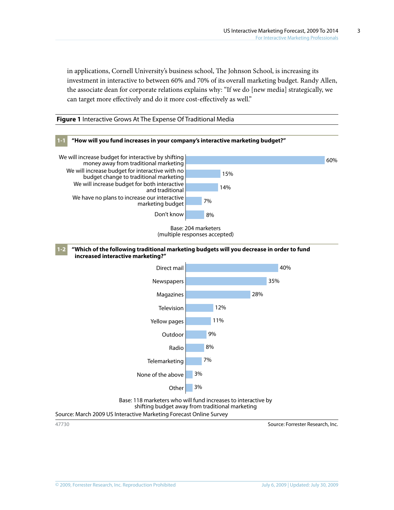in applications, Cornell University's business school, The Johnson School, is increasing its investment in interactive to between 60% and 70% of its overall marketing budget. Randy Allen, the associate dean for corporate relations explains why: "If we do [new media] strategically, we can target more effectively and do it more cost-effectively as well."





Source: March 2009 US Interactive Marketing Forecast Online Survey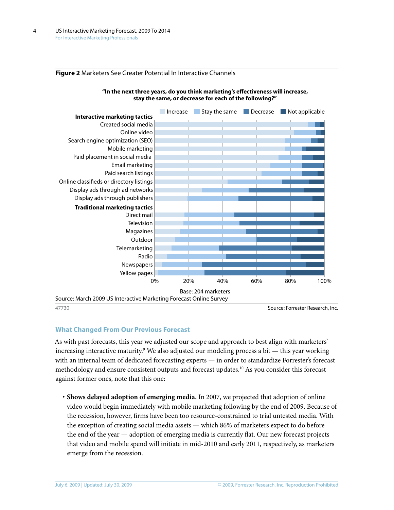#### **Figure 2** Marketers See Greater Potential In Interactive Channels





47730 Source: Forrester Research, Inc.

#### **What Changed From Our Previous Forecast**

As with past forecasts, this year we adjusted our scope and approach to best align with marketers' increasing interactive maturity.9 We also adjusted our modeling process a bit — this year working with an internal team of dedicated forecasting experts — in order to standardize Forrester's forecast methodology and ensure consistent outputs and forecast updates.10 As you consider this forecast against former ones, note that this one:

**· Shows delayed adoption of emerging media.** In 2007, we projected that adoption of online video would begin immediately with mobile marketing following by the end of 2009. Because of the recession, however, firms have been too resource-constrained to trial untested media. With the exception of creating social media assets — which 86% of marketers expect to do before the end of the year — adoption of emerging media is currently flat. Our new forecast projects that video and mobile spend will initiate in mid-2010 and early 2011, respectively, as marketers emerge from the recession.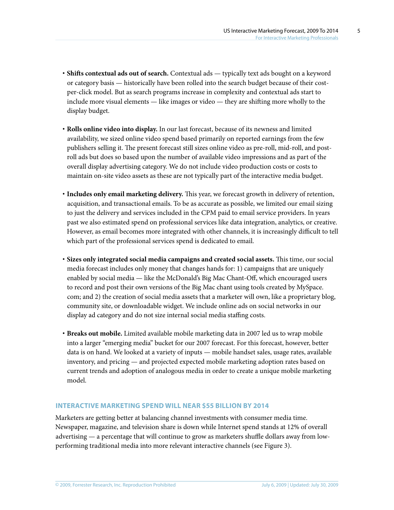- **· Shifts contextual ads out of search.** Contextual ads typically text ads bought on a keyword or category basis — historically have been rolled into the search budget because of their costper-click model. But as search programs increase in complexity and contextual ads start to include more visual elements — like images or video — they are shifting more wholly to the display budget.
- **· Rolls online video into display.** In our last forecast, because of its newness and limited availability, we sized online video spend based primarily on reported earnings from the few publishers selling it. The present forecast still sizes online video as pre-roll, mid-roll, and postroll ads but does so based upon the number of available video impressions and as part of the overall display advertising category. We do not include video production costs or costs to maintain on-site video assets as these are not typically part of the interactive media budget.
- **· Includes only email marketing delivery.** This year, we forecast growth in delivery of retention, acquisition, and transactional emails. To be as accurate as possible, we limited our email sizing to just the delivery and services included in the CPM paid to email service providers. In years past we also estimated spend on professional services like data integration, analytics, or creative. However, as email becomes more integrated with other channels, it is increasingly difficult to tell which part of the professional services spend is dedicated to email.
- **· Sizes only integrated social media campaigns and created social assets.** This time, our social media forecast includes only money that changes hands for: 1) campaigns that are uniquely enabled by social media — like the McDonald's Big Mac Chant-Off, which encouraged users to record and post their own versions of the Big Mac chant using tools created by MySpace. com; and 2) the creation of social media assets that a marketer will own, like a proprietary blog, community site, or downloadable widget. We include online ads on social networks in our display ad category and do not size internal social media staffing costs.
- **· Breaks out mobile.** Limited available mobile marketing data in 2007 led us to wrap mobile into a larger "emerging media" bucket for our 2007 forecast. For this forecast, however, better data is on hand. We looked at a variety of inputs — mobile handset sales, usage rates, available inventory, and pricing — and projected expected mobile marketing adoption rates based on current trends and adoption of analogous media in order to create a unique mobile marketing model.

#### **Interactive Marketing Spend Will Near \$55 Billion By 2014**

Marketers are getting better at balancing channel investments with consumer media time. Newspaper, magazine, and television share is down while Internet spend stands at 12% of overall advertising — a percentage that will continue to grow as marketers shuffle dollars away from lowperforming traditional media into more relevant interactive channels (see Figure 3).

5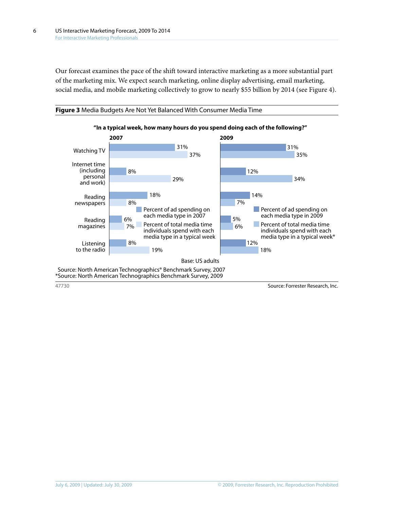Our forecast examines the pace of the shift toward interactive marketing as a more substantial part of the marketing mix. We expect search marketing, online display advertising, email marketing, social media, and mobile marketing collectively to grow to nearly \$55 billion by 2014 (see Figure 4).

**Figure 3** Media Budgets Are Not Yet Balanced With Consumer Media Time

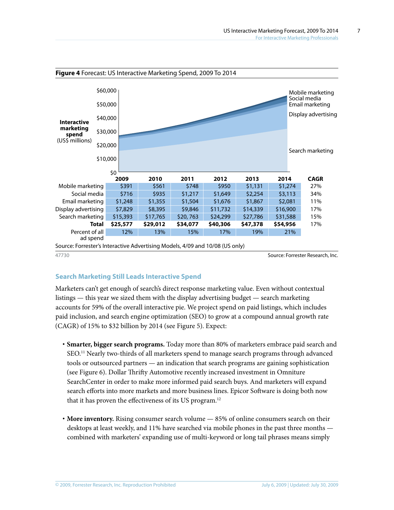

#### **Search Marketing Still Leads Interactive Spend**

Marketers can't get enough of search's direct response marketing value. Even without contextual listings — this year we sized them with the display advertising budget — search marketing accounts for 59% of the overall interactive pie. We project spend on paid listings, which includes paid inclusion, and search engine optimization (SEO) to grow at a compound annual growth rate (CAGR) of 15% to \$32 billion by 2014 (see Figure 5). Expect:

- **· Smarter, bigger search programs.** Today more than 80% of marketers embrace paid search and SEO.11 Nearly two-thirds of all marketers spend to manage search programs through advanced tools or outsourced partners — an indication that search programs are gaining sophistication (see Figure 6). Dollar Thrifty Automotive recently increased investment in Omniture SearchCenter in order to make more informed paid search buys. And marketers will expand search efforts into more markets and more business lines. Epicor Software is doing both now that it has proven the effectiveness of its US program.<sup>12</sup>
- **· More inventory.** Rising consumer search volume 85% of online consumers search on their desktops at least weekly, and 11% have searched via mobile phones in the past three months combined with marketers' expanding use of multi-keyword or long tail phrases means simply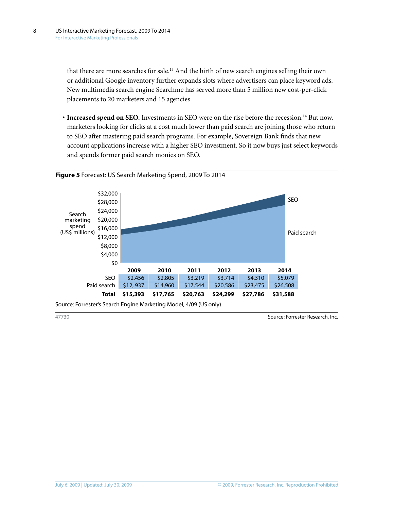that there are more searches for sale.13 And the birth of new search engines selling their own or additional Google inventory further expands slots where advertisers can place keyword ads. New multimedia search engine Searchme has served more than 5 million new cost-per-click placements to 20 marketers and 15 agencies.

**· Increased spend on SEO.** Investments in SEO were on the rise before the recession.14 But now, marketers looking for clicks at a cost much lower than paid search are joining those who return to SEO after mastering paid search programs. For example, Sovereign Bank finds that new account applications increase with a higher SEO investment. So it now buys just select keywords and spends former paid search monies on SEO.

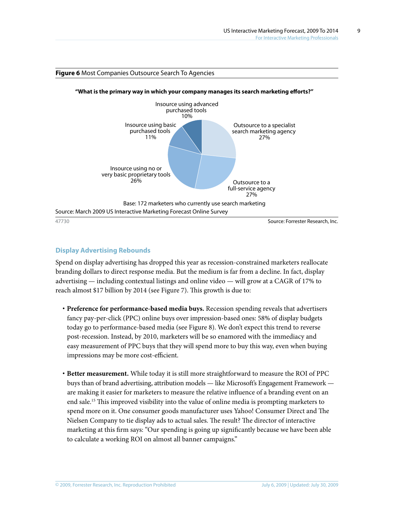

#### **Figure 6** Most Companies Outsource Search To Agencies

#### **Display Advertising Rebounds**

Spend on display advertising has dropped this year as recession-constrained marketers reallocate branding dollars to direct response media. But the medium is far from a decline. In fact, display advertising — including contextual listings and online video — will grow at a CAGR of 17% to reach almost \$17 billion by 2014 (see Figure 7). This growth is due to:

- **· Preference for performance-based media buys.** Recession spending reveals that advertisers fancy pay-per-click (PPC) online buys over impression-based ones: 58% of display budgets today go to performance-based media (see Figure 8). We don't expect this trend to reverse post-recession. Instead, by 2010, marketers will be so enamored with the immediacy and easy measurement of PPC buys that they will spend more to buy this way, even when buying impressions may be more cost-efficient.
- **· Better measurement.** While today it is still more straightforward to measure the ROI of PPC buys than of brand advertising, attribution models — like Microsoft's Engagement Framework are making it easier for marketers to measure the relative influence of a branding event on an end sale.15 This improved visibility into the value of online media is prompting marketers to spend more on it. One consumer goods manufacturer uses Yahoo! Consumer Direct and The Nielsen Company to tie display ads to actual sales. The result? The director of interactive marketing at this firm says: "Our spending is going up significantly because we have been able to calculate a working ROI on almost all banner campaigns."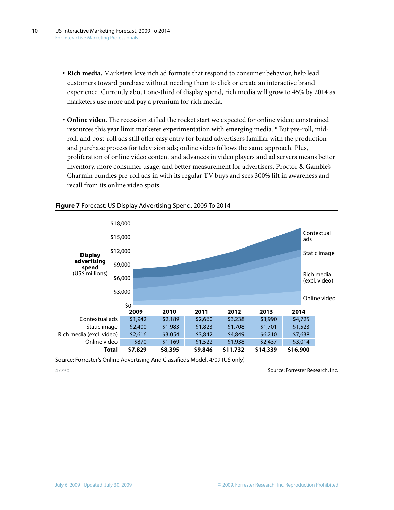- **· Rich media.** Marketers love rich ad formats that respond to consumer behavior, help lead customers toward purchase without needing them to click or create an interactive brand experience. Currently about one-third of display spend, rich media will grow to 45% by 2014 as marketers use more and pay a premium for rich media.
- **· Online video.** The recession stifled the rocket start we expected for online video; constrained resources this year limit marketer experimentation with emerging media.<sup>16</sup> But pre-roll, midroll, and post-roll ads still offer easy entry for brand advertisers familiar with the production and purchase process for television ads; online video follows the same approach. Plus, proliferation of online video content and advances in video players and ad servers means better inventory, more consumer usage, and better measurement for advertisers. Proctor & Gamble's Charmin bundles pre-roll ads in with its regular TV buys and sees 300% lift in awareness and recall from its online video spots.

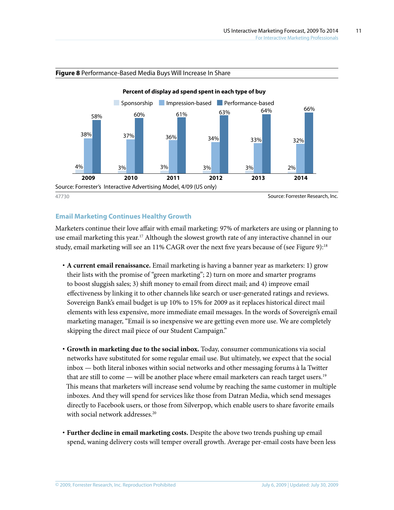

#### **Figure 8** Performance-Based Media Buys Will Increase In Share

#### **Email Marketing Continues Healthy Growth**

Marketers continue their love affair with email marketing: 97% of marketers are using or planning to use email marketing this year.<sup>17</sup> Although the slowest growth rate of any interactive channel in our study, email marketing will see an 11% CAGR over the next five years because of (see Figure 9):18

- **· A current email renaissance.** Email marketing is having a banner year as marketers: 1) grow their lists with the promise of "green marketing"; 2) turn on more and smarter programs to boost sluggish sales; 3) shift money to email from direct mail; and 4) improve email effectiveness by linking it to other channels like search or user-generated ratings and reviews. Sovereign Bank's email budget is up 10% to 15% for 2009 as it replaces historical direct mail elements with less expensive, more immediate email messages. In the words of Sovereign's email marketing manager, "Email is so inexpensive we are getting even more use. We are completely skipping the direct mail piece of our Student Campaign."
- **· Growth in marketing due to the social inbox.** Today, consumer communications via social networks have substituted for some regular email use. But ultimately, we expect that the social inbox — both literal inboxes within social networks and other messaging forums à la Twitter that are still to come — will be another place where email marketers can reach target users.<sup>19</sup> This means that marketers will increase send volume by reaching the same customer in multiple inboxes. And they will spend for services like those from Datran Media, which send messages directly to Facebook users, or those from Silverpop, which enable users to share favorite emails with social network addresses.<sup>20</sup>
- **· Further decline in email marketing costs.** Despite the above two trends pushing up email spend, waning delivery costs will temper overall growth. Average per-email costs have been less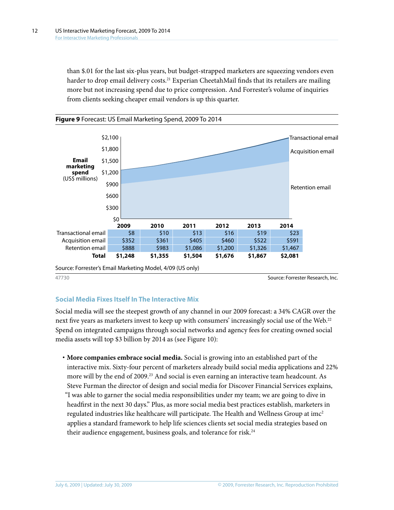than \$.01 for the last six-plus years, but budget-strapped marketers are squeezing vendors even harder to drop email delivery costs.<sup>21</sup> Experian CheetahMail finds that its retailers are mailing more but not increasing spend due to price compression. And Forrester's volume of inquiries from clients seeking cheaper email vendors is up this quarter.



#### **Social Media Fixes Itself In The Interactive Mix**

Social media will see the steepest growth of any channel in our 2009 forecast: a 34% CAGR over the next five years as marketers invest to keep up with consumers' increasingly social use of the Web.<sup>22</sup> Spend on integrated campaigns through social networks and agency fees for creating owned social media assets will top \$3 billion by 2014 as (see Figure 10):

**· More companies embrace social media.** Social is growing into an established part of the interactive mix. Sixty-four percent of marketers already build social media applications and 22% more will by the end of 2009.<sup>23</sup> And social is even earning an interactive team headcount. As Steve Furman the director of design and social media for Discover Financial Services explains, "I was able to garner the social media responsibilities under my team; we are going to dive in headfirst in the next 30 days." Plus, as more social media best practices establish, marketers in regulated industries like healthcare will participate. The Health and Wellness Group at  $\text{im}c^2$ applies a standard framework to help life sciences clients set social media strategies based on their audience engagement, business goals, and tolerance for risk.<sup>24</sup>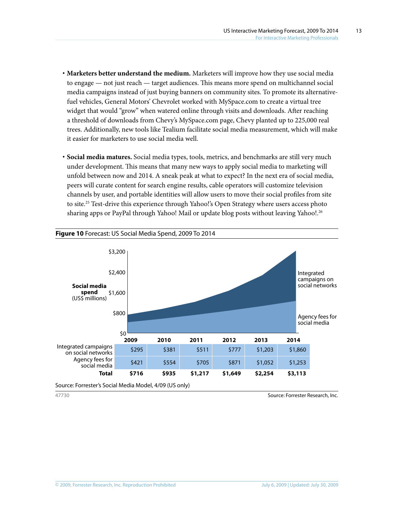13

- **· Marketers better understand the medium.** Marketers will improve how they use social media to engage — not just reach — target audiences. This means more spend on multichannel social media campaigns instead of just buying banners on community sites. To promote its alternativefuel vehicles, General Motors' Chevrolet worked with MySpace.com to create a virtual tree widget that would "grow" when watered online through visits and downloads. After reaching a threshold of downloads from Chevy's MySpace.com page, Chevy planted up to 225,000 real trees. Additionally, new tools like Tealium facilitate social media measurement, which will make it easier for marketers to use social media well.
- **· Social media matures.** Social media types, tools, metrics, and benchmarks are still very much under development. This means that many new ways to apply social media to marketing will unfold between now and 2014. A sneak peak at what to expect? In the next era of social media, peers will curate content for search engine results, cable operators will customize television channels by user, and portable identities will allow users to move their social profiles from site to site.<sup>25</sup> Test-drive this experience through Yahoo!'s Open Strategy where users access photo sharing apps or PayPal through Yahoo! Mail or update blog posts without leaving Yahoo!.26

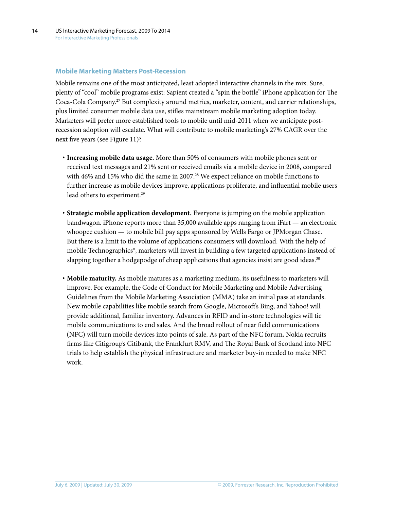#### **Mobile Marketing Matters Post-Recession**

Mobile remains one of the most anticipated, least adopted interactive channels in the mix. Sure, plenty of "cool" mobile programs exist: Sapient created a "spin the bottle" iPhone application for The Coca-Cola Company.27 But complexity around metrics, marketer, content, and carrier relationships, plus limited consumer mobile data use, stifles mainstream mobile marketing adoption today. Marketers will prefer more established tools to mobile until mid-2011 when we anticipate postrecession adoption will escalate. What will contribute to mobile marketing's 27% CAGR over the next five years (see Figure 11)?

- **· Increasing mobile data usage.** More than 50% of consumers with mobile phones sent or received text messages and 21% sent or received emails via a mobile device in 2008, compared with 46% and 15% who did the same in 2007.<sup>28</sup> We expect reliance on mobile functions to further increase as mobile devices improve, applications proliferate, and influential mobile users lead others to experiment.<sup>29</sup>
- **· Strategic mobile application development.** Everyone is jumping on the mobile application bandwagon. iPhone reports more than 35,000 available apps ranging from iFart — an electronic whoopee cushion — to mobile bill pay apps sponsored by Wells Fargo or JPMorgan Chase. But there is a limit to the volume of applications consumers will download. With the help of mobile Technographics®, marketers will invest in building a few targeted applications instead of slapping together a hodgepodge of cheap applications that agencies insist are good ideas.<sup>30</sup>
- **· Mobile maturity.** As mobile matures as a marketing medium, its usefulness to marketers will improve. For example, the Code of Conduct for Mobile Marketing and Mobile Advertising Guidelines from the Mobile Marketing Association (MMA) take an initial pass at standards. New mobile capabilities like mobile search from Google, Microsoft's Bing, and Yahoo! will provide additional, familiar inventory. Advances in RFID and in-store technologies will tie mobile communications to end sales. And the broad rollout of near field communications (NFC) will turn mobile devices into points of sale. As part of the NFC forum, Nokia recruits firms like Citigroup's Citibank, the Frankfurt RMV, and The Royal Bank of Scotland into NFC trials to help establish the physical infrastructure and marketer buy-in needed to make NFC work.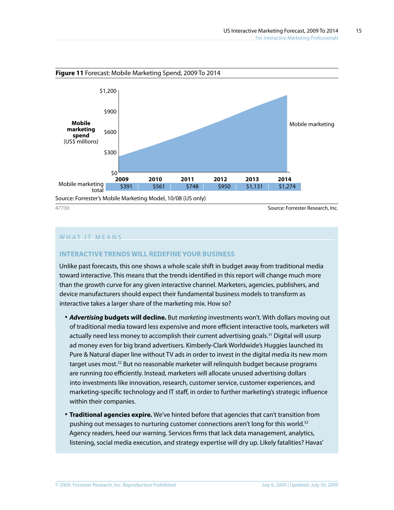

#### WHAT IT MEANS

#### **Interactive Trends Will ReDEFINE Your Business**

Unlike past forecasts, this one shows a whole scale shift in budget away from traditional media toward interactive. This means that the trends identified in this report will change much more than the growth curve for any given interactive channel. Marketers, agencies, publishers, and device manufacturers should expect their fundamental business models to transform as interactive takes a larger share of the marketing mix. How so?

- **·** *Advertising* **budgets will decline.** But *marketing* investments won't. With dollars moving out of traditional media toward less expensive and more efficient interactive tools, marketers will actually need less money to accomplish their current advertising goals.<sup>31</sup> Digital will usurp ad money even for big brand advertisers. Kimberly-Clark Worldwide's Huggies launched its Pure & Natural diaper line without TV ads in order to invest in the digital media its new mom target uses most.<sup>32</sup> But no reasonable marketer will relinquish budget because programs are running *too* efficiently. Instead, marketers will allocate unused advertising dollars into investments like innovation, research, customer service, customer experiences, and marketing-specific technology and IT staff, in order to further marketing's strategic influence within their companies.
- **· Traditional agencies expire.** We've hinted before that agencies that can't transition from pushing out messages to nurturing customer connections aren't long for this world.33 Agency readers, heed our warning. Services firms that lack data management, analytics, listening, social media execution, and strategy expertise will dry up. Likely fatalities? Havas'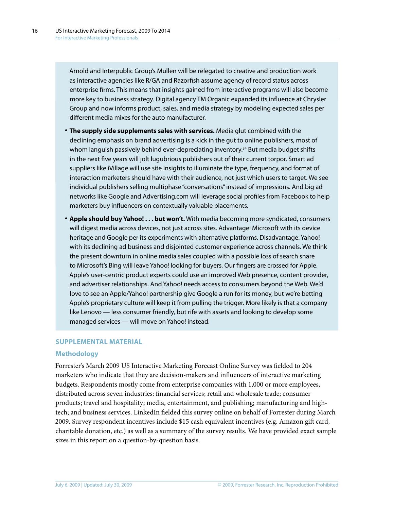Arnold and Interpublic Group's Mullen will be relegated to creative and production work as interactive agencies like R/GA and Razorfish assume agency of record status across enterprise firms. This means that insights gained from interactive programs will also become more key to business strategy. Digital agency TM Organic expanded its influence at Chrysler Group and now informs product, sales, and media strategy by modeling expected sales per different media mixes for the auto manufacturer.

- **· The supply side supplements sales with services.** Media glut combined with the declining emphasis on brand advertising is a kick in the gut to online publishers, most of whom languish passively behind ever-depreciating inventory.<sup>34</sup> But media budget shifts in the next five years will jolt lugubrious publishers out of their current torpor. Smart ad suppliers like iVillage will use site insights to illuminate the type, frequency, and format of interaction marketers should have with their audience, not just which users to target. We see individual publishers selling multiphase "conversations" instead of impressions. And big ad networks like Google and Advertising.com will leverage social profiles from Facebook to help marketers buy influencers on contextually valuable placements.
- **· Apple should buy Yahoo! . . . but won't.** With media becoming more syndicated, consumers will digest media across devices, not just across sites. Advantage: Microsoft with its device heritage and Google per its experiments with alternative platforms. Disadvantage: Yahoo! with its declining ad business and disjointed customer experience across channels. We think the present downturn in online media sales coupled with a possible loss of search share to Microsoft's Bing will leave Yahoo! looking for buyers. Our fingers are crossed for Apple. Apple's user-centric product experts could use an improved Web presence, content provider, and advertiser relationships. And Yahoo! needs access to consumers beyond the Web. We'd love to see an Apple/Yahoo! partnership give Google a run for its money, but we're betting Apple's proprietary culture will keep it from pulling the trigger. More likely is that a company like Lenovo — less consumer friendly, but rife with assets and looking to develop some managed services — will move on Yahoo! instead.

#### **Supplemental MATERIAL**

#### **Methodology**

Forrester's March 2009 US Interactive Marketing Forecast Online Survey was fielded to 204 marketers who indicate that they are decision-makers and influencers of interactive marketing budgets. Respondents mostly come from enterprise companies with 1,000 or more employees, distributed across seven industries: financial services; retail and wholesale trade; consumer products; travel and hospitality; media, entertainment, and publishing; manufacturing and hightech; and business services. LinkedIn fielded this survey online on behalf of Forrester during March 2009. Survey respondent incentives include \$15 cash equivalent incentives (e.g. Amazon gift card, charitable donation, etc.) as well as a summary of the survey results. We have provided exact sample sizes in this report on a question-by-question basis.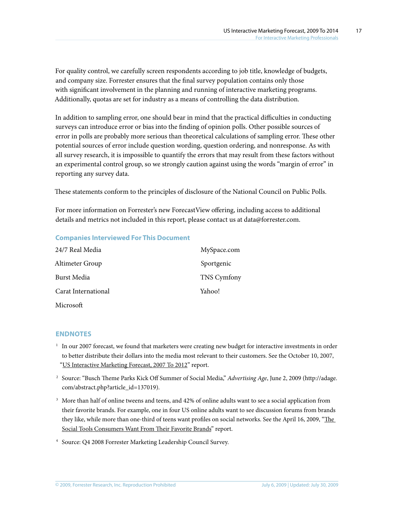For quality control, we carefully screen respondents according to job title, knowledge of budgets, and company size. Forrester ensures that the final survey population contains only those with significant involvement in the planning and running of interactive marketing programs. Additionally, quotas are set for industry as a means of controlling the data distribution.

In addition to sampling error, one should bear in mind that the practical difficulties in conducting surveys can introduce error or bias into the finding of opinion polls. Other possible sources of error in polls are probably more serious than theoretical calculations of sampling error. These other potential sources of error include question wording, question ordering, and nonresponse. As with all survey research, it is impossible to quantify the errors that may result from these factors without an experimental control group, so we strongly caution against using the words "margin of error" in reporting any survey data.

These statements conform to the principles of disclosure of the National Council on Public Polls.

For more information on Forrester's new ForecastView offering, including access to additional details and metrics not included in this report, please contact us at data@forrester.com.

#### **Companies Interviewed For This Document**

| 24/7 Real Media     | MySpace.com        |
|---------------------|--------------------|
| Altimeter Group     | Sportgenic         |
| <b>Burst Media</b>  | <b>TNS Cymfony</b> |
| Carat International | Yahoo!             |
| Microsoft           |                    |

#### **Endnotes**

- <sup>1</sup> In our 2007 forecast, we found that marketers were creating new budget for interactive investments in order to better distribute their dollars into the media most relevant to their customers. See the October 10, 2007, ["US Interactive Marketing Forecast, 2007 To 2012](http://www.forrester.com/go?docid=42463&src=47730pdf)" report.
- <sup>2</sup> Source: "Busch Theme Parks Kick Off Summer of Social Media," *Advertising Age*, June 2, 2009 (http://adage. com/abstract.php?article\_id=137019).
- <sup>3</sup> More than half of online tweens and teens, and 42% of online adults want to see a social application from their favorite brands. For example, one in four US online adults want to see discussion forums from brands they like, while more than one-third of teens want profiles on social networks. See the April 16, 2009, ["The](http://www.forrester.com/go?docid=53642&src=47730pdf)  [Social Tools Consumers Want From Their Favorite Brands](http://www.forrester.com/go?docid=53642&src=47730pdf)" report.

<sup>4</sup> Source: Q4 2008 Forrester Marketing Leadership Council Survey.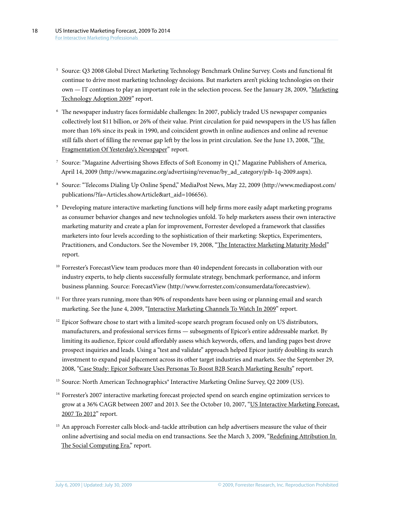- <sup>5</sup> Source: Q3 2008 Global Direct Marketing Technology Benchmark Online Survey. Costs and functional fit continue to drive most marketing technology decisions. But marketers aren't picking technologies on their own — IT continues to play an important role in the selection process. See the January 28, 2009, ["Marketing](http://www.forrester.com/go?docid=47061&src=47730pdf)  [Technology Adoption 2009](http://www.forrester.com/go?docid=47061&src=47730pdf)" report.
- <sup>6</sup> The newspaper industry faces formidable challenges: In 2007, publicly traded US newspaper companies collectively lost \$11 billion, or 26% of their value. Print circulation for paid newspapers in the US has fallen more than 16% since its peak in 1990, and coincident growth in online audiences and online ad revenue still falls short of filling the revenue gap left by the loss in print circulation. See the June 13, 2008, "The [Fragmentation Of Yesterday's Newspaper"](http://www.forrester.com/go?docid=46034&src=47730pdf) report.
- <sup>7</sup> Source: "Magazine Advertising Shows Effects of Soft Economy in Q1," Magazine Publishers of America, April 14, 2009 (http://www.magazine.org/advertising/revenue/by\_ad\_category/pib-1q-2009.aspx).
- <sup>8</sup> Source: "Telecoms Dialing Up Online Spend," MediaPost News, May 22, 2009 (http://www.mediapost.com/ publications/?fa=Articles.showArticle&art\_aid=106656).
- <sup>9</sup> Developing mature interactive marketing functions will help firms more easily adapt marketing programs as consumer behavior changes and new technologies unfold. To help marketers assess their own interactive marketing maturity and create a plan for improvement, Forrester developed a framework that classifies marketers into four levels according to the sophistication of their marketing: Skeptics, Experimenters, Practitioners, and Conductors. See the November 19, 2008, "[The Interactive Marketing Maturity Model](http://www.forrester.com/go?docid=43521&src=47730pdf)" report.
- $10$  Forrester's ForecastView team produces more than 40 independent forecasts in collaboration with our industry experts, to help clients successfully formulate strategy, benchmark performance, and inform business planning. Source: ForecastView (http://www.forrester.com/consumerdata/forecastview).
- $11$  For three years running, more than 90% of respondents have been using or planning email and search marketing. See the June 4, 2009, "[Interactive Marketing Channels To Watch In 2009"](http://www.forrester.com/go?docid=53721&src=47730pdf) report.
- $12$  Epicor Software chose to start with a limited-scope search program focused only on US distributors, manufacturers, and professional services firms — subsegments of Epicor's entire addressable market. By limiting its audience, Epicor could affordably assess which keywords, offers, and landing pages best drove prospect inquiries and leads. Using a "test and validate" approach helped Epicor justify doubling its search investment to expand paid placement across its other target industries and markets. See the September 29, 2008, ["Case Study: Epicor Software Uses Personas To Boost B2B Search Marketing Results"](http://www.forrester.com/go?docid=46804&src=47730pdf) report.
- <sup>13</sup> Source: North American Technographics<sup>®</sup> Interactive Marketing Online Survey, Q2 2009 (US).
- <sup>14</sup> Forrester's 2007 interactive marketing forecast projected spend on search engine optimization services to grow at a 36% CAGR between 2007 and 2013. See the October 10, 2007, "[US Interactive Marketing Forecast,](http://www.forrester.com/go?docid=42463&src=47730pdf) [2007 To 2012](http://www.forrester.com/go?docid=42463&src=47730pdf)" report.
- <sup>15</sup> An approach Forrester calls block-and-tackle attribution can help advertisers measure the value of their online advertising and social media on end transactions. See the March 3, 2009, ["Redefining Attribution In](http://www.forrester.com/go?docid=53600&src=47730pdf)  [The Social Computing Era,"](http://www.forrester.com/go?docid=53600&src=47730pdf) report.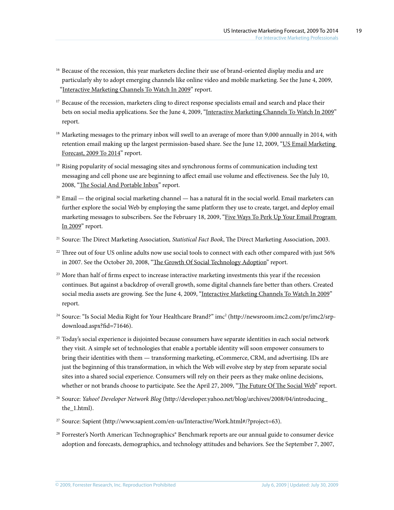- <sup>16</sup> Because of the recession, this year marketers decline their use of brand-oriented display media and are particularly shy to adopt emerging channels like online video and mobile marketing. See the June 4, 2009, ["Interactive Marketing Channels To Watch In 2009](http://www.forrester.com/go?docid=53721&src=47730pdf)" report.
- <sup>17</sup> Because of the recession, marketers cling to direct response specialists email and search and place their bets on social media applications. See the June 4, 2009, ["Interactive Marketing Channels To Watch In 2009](http://www.forrester.com/go?docid=53721&src=47730pdf)" report.
- <sup>18</sup> Marketing messages to the primary inbox will swell to an average of more than 9,000 annually in 2014, with retention email making up the largest permission-based share. See the June 12, 2009, "US Email Marketing [Forecast, 2009 To 2014](http://www.forrester.com/go?docid=53620&src=47730pdf)" report.
- $19$  Rising popularity of social messaging sites and synchronous forms of communication including text messaging and cell phone use are beginning to affect email use volume and effectiveness. See the July 10, 2008, "[The Social And Portable Inbox](http://www.forrester.com/go?docid=52931&src=47730pdf)" report.
- $20$  Email the original social marketing channel has a natural fit in the social world. Email marketers can further explore the social Web by employing the same platform they use to create, target, and deploy email marketing messages to subscribers. See the February 18, 2009, ["Five Ways To Perk Up Your Email Program](http://www.forrester.com/go?docid=48057&src=47730pdf)  [In 2009](http://www.forrester.com/go?docid=48057&src=47730pdf)" report.
- <sup>21</sup> Source: The Direct Marketing Association*, Statistical Fact Book*, The Direct Marketing Association, 2003.
- <sup>22</sup> Three out of four US online adults now use social tools to connect with each other compared with just 56% in 2007. See the October 20, 2008, ["The Growth Of Social Technology Adoption](http://www.forrester.com/go?docid=44907&src=47730pdf)" report.
- <sup>23</sup> More than half of firms expect to increase interactive marketing investments this year if the recession continues. But against a backdrop of overall growth, some digital channels fare better than others. Created social media assets are growing. See the June 4, 2009, ["Interactive Marketing Channels To Watch In 2009](http://www.forrester.com/go?docid=53721&src=47730pdf)" report.
- <sup>24</sup> Source: "Is Social Media Right for Your Healthcare Brand?" imc2 (http://newsroom.imc2.com/pr/imc2/srpdownload.aspx?fid=71646).
- <sup>25</sup> Today's social experience is disjointed because consumers have separate identities in each social network they visit. A simple set of technologies that enable a portable identity will soon empower consumers to bring their identities with them — transforming marketing, eCommerce, CRM, and advertising. IDs are just the beginning of this transformation, in which the Web will evolve step by step from separate social sites into a shared social experience. Consumers will rely on their peers as they make online decisions, whether or not brands choose to participate. See the April 27, 2009, "[The Future Of The Social Web"](http://www.forrester.com/go?docid=46970&src=47730pdf) report.
- <sup>26</sup> Source: *Yahoo! Developer Network Blog* (http://developer.yahoo.net/blog/archives/2008/04/introducing\_ the\_1.html).
- <sup>27</sup> Source: Sapient (http://www.sapient.com/en-us/Interactive/Work.html#/?project=63).
- <sup>28</sup> Forrester's North American Technographics® Benchmark reports are our annual guide to consumer device adoption and forecasts, demographics, and technology attitudes and behaviors. See the September 7, 2007,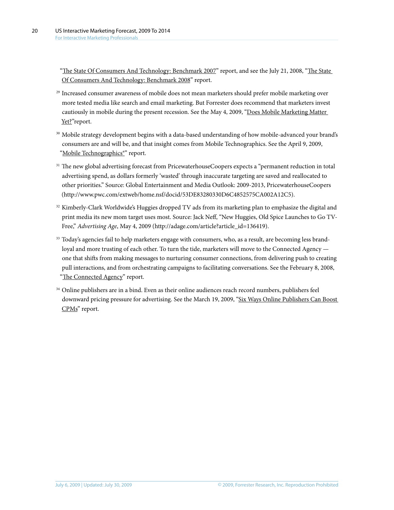["The State Of Consumers And Technology: Benchmark 2007"](http://www.forrester.com/go?docid=42869&src=47730pdf) report, and see the July 21, 2008, "The State [Of Consumers And Technology: Benchmark 2008"](http://www.forrester.com/go?docid=44126&src=47730pdf) report.

- <sup>29</sup> Increased consumer awareness of mobile does not mean marketers should prefer mobile marketing over more tested media like search and email marketing. But Forrester does recommend that marketers invest cautiously in mobile during the present recession. See the May 4, 2009, "[Does Mobile Marketing Matter](http://www.forrester.com/go?docid=53590&src=47730pdf)  [Yet?"](http://www.forrester.com/go?docid=53590&src=47730pdf)report.
- <sup>30</sup> Mobile strategy development begins with a data-based understanding of how mobile-advanced your brand's consumers are and will be, and that insight comes from Mobile Technographics. See the April 9, 2009, "Mobile Technographics<sup>®"</sup> report.
- <sup>31</sup> The new global advertising forecast from PricewaterhouseCoopers expects a "permanent reduction in total advertising spend, as dollars formerly 'wasted' through inaccurate targeting are saved and reallocated to other priorities." Source: Global Entertainment and Media Outlook: 2009-2013, PricewaterhouseCoopers [\(http://www.pwc.com/extweb/home.nsf/docid/53DE83280330D6C4852575CA002A12C5\)](http://www.pwc.com/extweb/home.nsf/docid/53DE83280330D6C4852575CA002A12C5).
- <sup>32</sup> Kimberly-Clark Worldwide's Huggies dropped TV ads from its marketing plan to emphasize the digital and print media its new mom target uses most. Source: Jack Neff, "New Huggies, Old Spice Launches to Go TV-Free," *Advertising Age*, May 4, 2009 (http://adage.com/article?article\_id=136419).
- <sup>33</sup> Today's agencies fail to help marketers engage with consumers, who, as a result, are becoming less brandloyal and more trusting of each other. To turn the tide, marketers will move to the Connected Agency one that shifts from making messages to nurturing consumer connections, from delivering push to creating pull interactions, and from orchestrating campaigns to facilitating conversations. See the February 8, 2008, ["The Connected Agency"](http://www.forrester.com/go?docid=43875&src=47730pdf) report.
- <sup>34</sup> Online publishers are in a bind. Even as their online audiences reach record numbers, publishers feel downward pricing pressure for advertising. See the March 19, 2009, "Six Ways Online Publishers Can Boost [CPMs](http://www.forrester.com/go?docid=53816&src=47730pdf)" report.